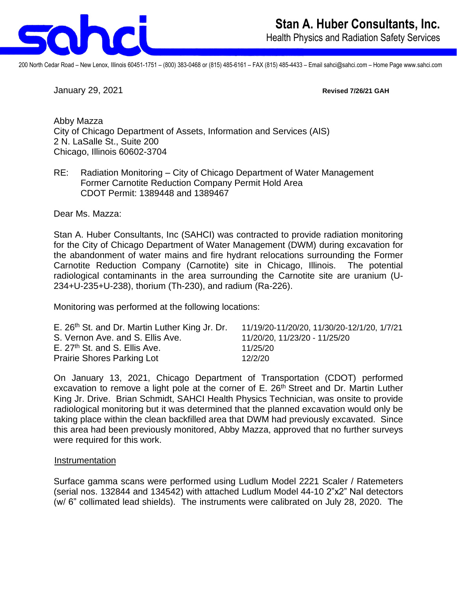

200 North Cedar Road – New Lenox, Illinois 60451-1751 – (800) 383-0468 or (815) 485-6161 – FAX (815) 485-4433 – Email sahci@sahci.com – Home Page www.sahci.com

January 29, 2021 **Revised 7/26/21 GAH**

Abby Mazza City of Chicago Department of Assets, Information and Services (AIS) 2 N. LaSalle St., Suite 200 Chicago, Illinois 60602-3704

RE: Radiation Monitoring – City of Chicago Department of Water Management Former Carnotite Reduction Company Permit Hold Area CDOT Permit: 1389448 and 1389467

Dear Ms. Mazza:

Stan A. Huber Consultants, Inc (SAHCI) was contracted to provide radiation monitoring for the City of Chicago Department of Water Management (DWM) during excavation for the abandonment of water mains and fire hydrant relocations surrounding the Former Carnotite Reduction Company (Carnotite) site in Chicago, Illinois. The potential radiological contaminants in the area surrounding the Carnotite site are uranium (U-234+U-235+U-238), thorium (Th-230), and radium (Ra-226).

Monitoring was performed at the following locations:

| E. 26 <sup>th</sup> St. and Dr. Martin Luther King Jr. Dr. | 11/19/20-11/20/20, 11/30/20-12/1/20, 1/7/21 |
|------------------------------------------------------------|---------------------------------------------|
| S. Vernon Ave. and S. Ellis Ave.                           | 11/20/20, 11/23/20 - 11/25/20               |
| E. 27 <sup>th</sup> St. and S. Ellis Ave.                  | 11/25/20                                    |
| <b>Prairie Shores Parking Lot</b>                          | 12/2/20                                     |

On January 13, 2021, Chicago Department of Transportation (CDOT) performed excavation to remove a light pole at the corner of E. 26<sup>th</sup> Street and Dr. Martin Luther King Jr. Drive. Brian Schmidt, SAHCI Health Physics Technician, was onsite to provide radiological monitoring but it was determined that the planned excavation would only be taking place within the clean backfilled area that DWM had previously excavated. Since this area had been previously monitored, Abby Mazza, approved that no further surveys were required for this work.

## **Instrumentation**

Surface gamma scans were performed using Ludlum Model 2221 Scaler / Ratemeters (serial nos. 132844 and 134542) with attached Ludlum Model 44-10 2"x2" NaI detectors (w/ 6" collimated lead shields). The instruments were calibrated on July 28, 2020. The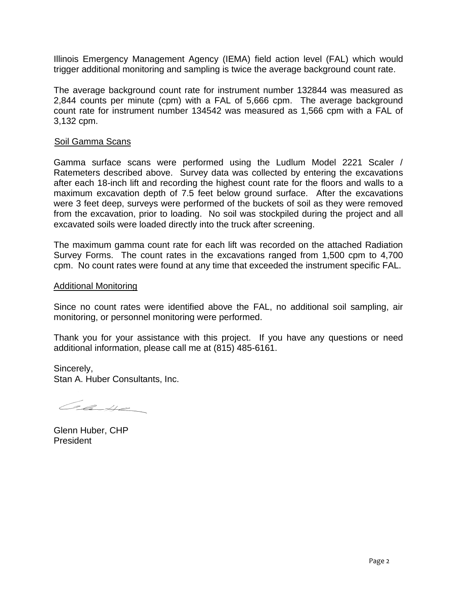Illinois Emergency Management Agency (IEMA) field action level (FAL) which would trigger additional monitoring and sampling is twice the average background count rate.

The average background count rate for instrument number 132844 was measured as 2,844 counts per minute (cpm) with a FAL of 5,666 cpm. The average background count rate for instrument number 134542 was measured as 1,566 cpm with a FAL of 3,132 cpm.

## Soil Gamma Scans

Gamma surface scans were performed using the Ludlum Model 2221 Scaler / Ratemeters described above. Survey data was collected by entering the excavations after each 18-inch lift and recording the highest count rate for the floors and walls to a maximum excavation depth of 7.5 feet below ground surface. After the excavations were 3 feet deep, surveys were performed of the buckets of soil as they were removed from the excavation, prior to loading. No soil was stockpiled during the project and all excavated soils were loaded directly into the truck after screening.

The maximum gamma count rate for each lift was recorded on the attached Radiation Survey Forms. The count rates in the excavations ranged from 1,500 cpm to 4,700 cpm. No count rates were found at any time that exceeded the instrument specific FAL.

## Additional Monitoring

Since no count rates were identified above the FAL, no additional soil sampling, air monitoring, or personnel monitoring were performed.

Thank you for your assistance with this project. If you have any questions or need additional information, please call me at (815) 485-6161.

Sincerely, Stan A. Huber Consultants, Inc.

Case

Glenn Huber, CHP President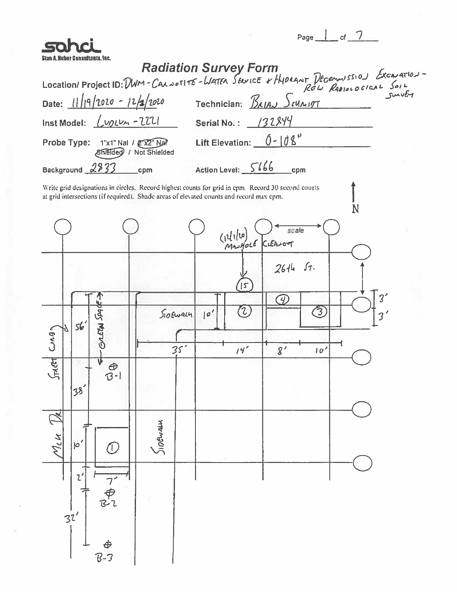| sohri                                                                                                                                                                                                                            | Page $\frac{1}{2}$ of $\frac{7}{2}$                                                                                                                                                                |
|----------------------------------------------------------------------------------------------------------------------------------------------------------------------------------------------------------------------------------|----------------------------------------------------------------------------------------------------------------------------------------------------------------------------------------------------|
| Stan A. Huber Consultants. Inc.                                                                                                                                                                                                  | <b>Radiation Survey Form</b>                                                                                                                                                                       |
|                                                                                                                                                                                                                                  | Location/Project ID: DWM-CALNOTITE-WATER SENICE + Hypegnt December 2510) Excavation-<br>Date: 11/19/2020 - 12/2/2020 Technician R.in. Suite                                                        |
| Date: $11/19/1020 - 12/1020$                                                                                                                                                                                                     |                                                                                                                                                                                                    |
| Inst Model: $\lfloor \sqrt{V/L} \sqrt{V-L} \rfloor$                                                                                                                                                                              | Serial No.: $\frac{132844}{ }$                                                                                                                                                                     |
| Probe Type: 1"x1" Nal / 2"X2" Nal                                                                                                                                                                                                | Lift Elevation: $0 - 108^{\circ}$<br><b>Shielded</b> / Not Shielded                                                                                                                                |
| Background 2833                                                                                                                                                                                                                  | Action Level: $566$ cpm<br>cpm                                                                                                                                                                     |
|                                                                                                                                                                                                                                  | Write grid designations in circles. Record highest counts for grid in epm. Record 30 second counts<br>at grid intersections (if required). Shade areas of elevated counts and record max epm.<br>N |
|                                                                                                                                                                                                                                  | scale<br>(12/1/20) SC<br>MANHOLE CLEANOUT                                                                                                                                                          |
| <b>E-apby Marve</b><br>s6<br><b>BVC</b><br>$\int$ k $\epsilon$<br>ν<br>$\frac{\theta}{B}$<br>38<br>$\overline{\mathbb{R}}$<br>$M_{LM}$<br>$10^{\prime}$<br>Ξ.<br>$\mathfrak{z}'$<br>て<br>アー<br>B-2<br>32'<br><del>¢</del><br>7-3 | 26th 57.<br>15<br>3'<br><b>A)</b><br>(2)<br>3<br>10'<br>50844<br>35 <sup>2</sup><br>14'<br>$g^{\, \prime}$<br>10 <sup>2</sup><br><b>SIDEWALK</b>                                                   |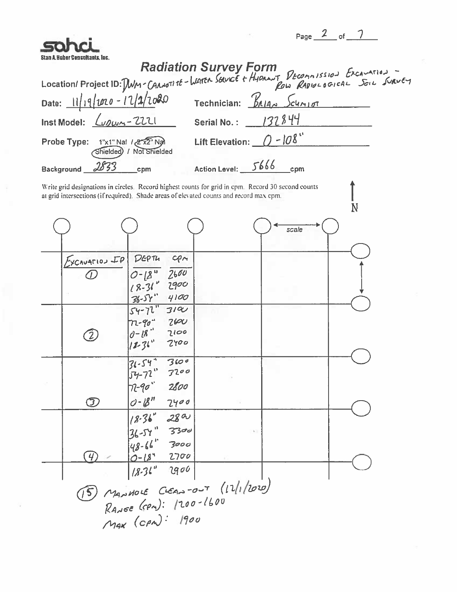| нэл<br>ב ד |  |  |
|------------|--|--|
|            |  |  |

|                                                                                                                                                         |                           |       | Page $\leftarrow$ of $\leftarrow$ |
|---------------------------------------------------------------------------------------------------------------------------------------------------------|---------------------------|-------|-----------------------------------|
| Radiation Survey Form<br>Location/Project ID: Dum-CanoTite-Watch Server t Hydron Decomposition Excavation<br>Date: 11/19/1020 7echnician: Balas Schript |                           |       |                                   |
|                                                                                                                                                         |                           |       |                                   |
|                                                                                                                                                         |                           |       |                                   |
| Inst Model: $\sqrt{2221}$ Serial No.: 132844                                                                                                            |                           |       |                                   |
| 1"x1" Nal 12 x2" Nal<br>Probe Type:                                                                                                                     | Lift Elevation: $0 - 108$ |       |                                   |
| Shielded) / Not Shielded                                                                                                                                |                           |       |                                   |
| 2833<br>Background __<br>cpm                                                                                                                            | Action Level: 5666        | cpm   |                                   |
| Write grid designations in circles. Record highest counts for grid in cpm. Record 30 second counts                                                      |                           |       |                                   |
| at grid intersections (if required). Shade areas of elevated counts and record max cpm.                                                                 |                           |       | N                                 |
|                                                                                                                                                         |                           | scale |                                   |
|                                                                                                                                                         |                           |       |                                   |
| $DEP$ Tu<br>cpm<br>$Excnu$ <sub>T10</sub> $\mathcal{LP}$                                                                                                |                           |       |                                   |
| 2600<br>$0 - 18^{u}$<br>$18 - 31^{v}$                                                                                                                   |                           |       |                                   |
| 2900<br>$36 - 57$<br>4100                                                                                                                               |                           |       |                                   |
| $54 - 72$<br>3190                                                                                                                                       |                           |       |                                   |
| 2600<br>2100                                                                                                                                            |                           |       |                                   |
| $72 - 90 - 18 - 120$<br>2700                                                                                                                            |                           |       |                                   |
| $31 - 54$<br>3600                                                                                                                                       |                           |       |                                   |
| $54 - 72$<br>3200                                                                                                                                       |                           |       |                                   |
| $72-90$ 2800                                                                                                                                            |                           |       |                                   |
| $0 - B''$<br>2400<br>$\bm{\mathfrak{D}}$                                                                                                                |                           |       |                                   |
| $18.36^{\circ}$ 28 a                                                                                                                                    |                           |       |                                   |
| $\begin{vmatrix} 36 - 54 \\ 48 - 66 \end{vmatrix}$ 3300                                                                                                 |                           |       |                                   |
| $0 - 18^{4}$<br>2700<br>4                                                                                                                               |                           |       |                                   |
| $18.31^{\circ}$ 2900                                                                                                                                    |                           |       |                                   |
| $\sqrt{5}$ MANMOLE CLEAN-OUT (12/1/2020)                                                                                                                |                           |       |                                   |
| RANGE (CPn): 1200-1600                                                                                                                                  |                           |       |                                   |
| MAX (CPM): 1900                                                                                                                                         |                           |       |                                   |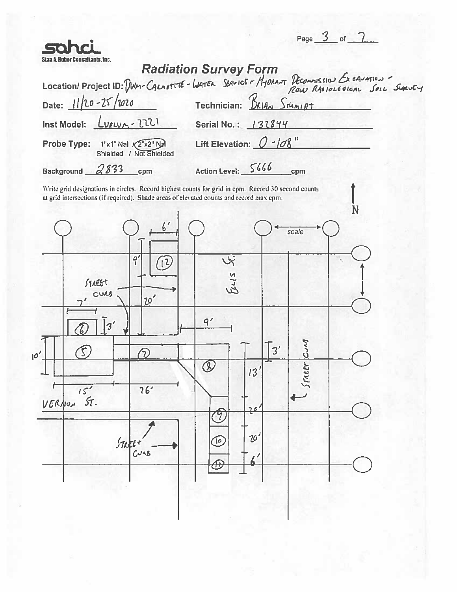| Page | пt |  |
|------|----|--|
|      |    |  |

| 50<br>Stan A. Huber Consultants. Inc.                                                                                                                                                         | Page $\bigcup$ of                                                                                          |
|-----------------------------------------------------------------------------------------------------------------------------------------------------------------------------------------------|------------------------------------------------------------------------------------------------------------|
|                                                                                                                                                                                               |                                                                                                            |
|                                                                                                                                                                                               | Radiation Survey Form<br>Location/Project ID: DWM-CALNITIE-WATER SENICE - HYDRAJT DECOMMISSION EX EAVATION |
| Date: 11/20-25/2020                                                                                                                                                                           | Technician: BAIAN Sdamint                                                                                  |
| Inst Model: <u>Lugwy</u> - 2221                                                                                                                                                               | Serial No.: 131844                                                                                         |
| Probe Type: 1"x1" Nal /(2"x2" Nal<br>Shielded / Not Shielded                                                                                                                                  | Lift Elevation: $0 - 108$                                                                                  |
| 2833<br>Background<br>cpm                                                                                                                                                                     | Action Level: 5666<br>cpm                                                                                  |
| Write grid designations in circles. Record highest counts for grid in cpm. Record 30 second counts<br>at grid intersections (if required). Shade areas of elevated counts and record max cpm. |                                                                                                            |
|                                                                                                                                                                                               |                                                                                                            |
|                                                                                                                                                                                               |                                                                                                            |

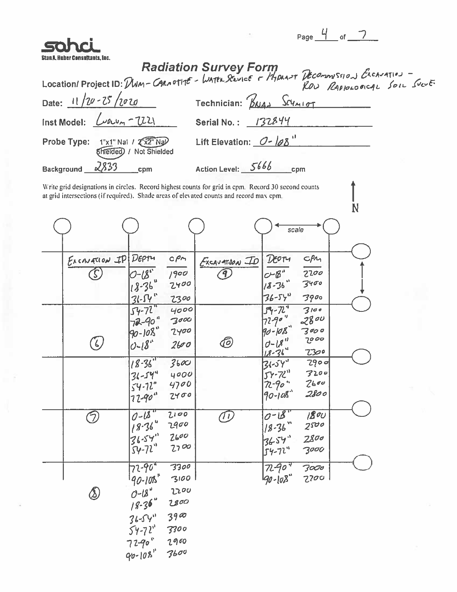| مزانيه |  |  |
|--------|--|--|

 $\rm \dot{N}$ 

| sahci                                                     | $\Box$                                                                                                          |
|-----------------------------------------------------------|-----------------------------------------------------------------------------------------------------------------|
| . Huber Consultants. Inc.                                 | Radiation Survey Form<br>- Location/Project ID: Divin-CARNOTHE - WATER SENIGE + PHORAST DECOMMISSION EXCAVATION |
|                                                           |                                                                                                                 |
| Date: $11/20 - 25/2020$                                   | Technician: BAJA> SCYMIDT                                                                                       |
| Inst Model: $\omega_{\text{avn}} - \text{U2}$             | Serial No.: 132844                                                                                              |
| Probe Type: 1"x1" Nal / 2"x2" Nal (Melded) / Not Shielded | Lift Elevation: $O - 108$                                                                                       |
| Background $\sqrt{2833}$<br>$_{\rm mem}$                  | Action Level: 5666<br>cpm                                                                                       |

Write grid designations in circles. Record highest counts for grid in cpm. Record 30 second counts at grid intersections (if required). Shade areas of elevated counts and record max cpm.

|                       |             |              |               | scale             |              |  |
|-----------------------|-------------|--------------|---------------|-------------------|--------------|--|
|                       |             |              |               |                   |              |  |
| EXCAVATION IP         | DEPTY       | CPM          | EXCAVATJON ID | DEOTH             | CPL          |  |
| $\tilde{\mathcal{L}}$ | $0 - 18$    | 1900         | 9,            | $C-B$ "           | 2200         |  |
|                       | $18 - 36$   | 2400         |               | $18 - 36$         | 3400         |  |
|                       | $31 - 54$   | 2300         |               | $36 - 54$         | 3900         |  |
|                       | $54 - 72$   | 4000         |               | $54 - 72$         | 3100         |  |
|                       | $72 - 90$   | 3000         |               | $7290$ "          | 2800         |  |
|                       | $90 - 108$  | 2400         |               | $90 - 108$        | 7000<br>2000 |  |
| $\bigcirc$            | $0 - 18$    | 2600         | 6             | $0 - 18$<br>18.36 | <u> 7300</u> |  |
|                       | $18 - 36$   | 3600         |               | $31 - 54$         | 2900         |  |
|                       | $31 - 544$  | 4000         |               | $54 - 72$         | 7200         |  |
|                       | $54 - 72$   | 4700         |               | $72 - 90$ "       | 2600         |  |
|                       | $72 - 90$ " | 2400         |               | $90 - 108$        | 2800         |  |
|                       | $0 - 18$    | 2100         |               | $0 - 18$          | 800          |  |
| Э                     | $18 - 36$   | 2900         | $\bigcirc$    | $1/8 - 36$        | 2500         |  |
|                       | 36.54       | 2600         |               | 3654              | 2800         |  |
|                       | $54 - 72$   | 2700         |               | $54 - 72$         | 3000         |  |
|                       |             |              |               |                   |              |  |
|                       | $72 - 904$  | 3300         |               | 7290              | 3000         |  |
|                       | $190 - 100$ | 3100<br>2200 |               | 190-108"          | 2200         |  |
| $\bigotimes$          | $O - 18$    |              |               |                   |              |  |
|                       | $18 - 36$   | 2800         |               |                   |              |  |
|                       | $36 - 54$   | $39\%$       |               |                   |              |  |
|                       | $54 - 72$   | 3300         |               |                   |              |  |
|                       | 7290"       | 2900         |               |                   |              |  |
|                       | $90 - 108$  | 3600         |               |                   |              |  |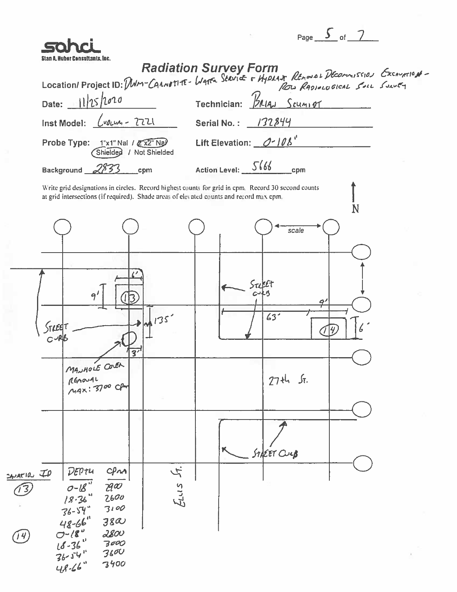| . . |  |  |
|-----|--|--|
|     |  |  |

|                                                                                                        | Page $\frac{3}{2}$ of $\frac{7}{2}$                                                                                                                                 |
|--------------------------------------------------------------------------------------------------------|---------------------------------------------------------------------------------------------------------------------------------------------------------------------|
| Stan A. Kuber Consultants, Inc.                                                                        |                                                                                                                                                                     |
|                                                                                                        |                                                                                                                                                                     |
|                                                                                                        | Radiation Survey Form<br>Location/Project ID: MM-CANNATHE-WATER SERVICE + HYPLANT REMOVAL PROMISSION EXCANNION-<br>Date: 11/25/2020 Technician: <u>PRIAN Scumpt</u> |
| Inst Model: $\left\lfloor \sqrt{v_{\ell}w_{\ell}}-2721\right\rfloor$                                   | Serial No.: 132844                                                                                                                                                  |
|                                                                                                        |                                                                                                                                                                     |
| Probe Type: 1"x1" Nal / 2"x2" Nal<br>Shielded / Not Shielded                                           | Lift Elevation: $O-10b^4$                                                                                                                                           |
| Background 2833<br>cpm                                                                                 | Action Level: 5666<br>cpm                                                                                                                                           |
| at grid intersections (if required). Shade areas of elevated counts and record max cpm.                | Write grid designations in circles. Record highest counts for grid in cpm. Record 30 second counts<br>N                                                             |
|                                                                                                        | scale                                                                                                                                                               |
|                                                                                                        |                                                                                                                                                                     |
|                                                                                                        |                                                                                                                                                                     |
| 91                                                                                                     | Sreet                                                                                                                                                               |
|                                                                                                        |                                                                                                                                                                     |
| M 135'<br>STREET                                                                                       | 63 <sup>2</sup>                                                                                                                                                     |
| $\overline{3'}$                                                                                        |                                                                                                                                                                     |
| MANAGLE CONER                                                                                          |                                                                                                                                                                     |
| REMOVAL<br>MAX: 3700 CPM                                                                               | 27th St.                                                                                                                                                            |
|                                                                                                        |                                                                                                                                                                     |
|                                                                                                        |                                                                                                                                                                     |
|                                                                                                        |                                                                                                                                                                     |
|                                                                                                        | STACET CULB                                                                                                                                                         |
| DEF<br>CPM<br>$2A140$ $70$                                                                             |                                                                                                                                                                     |
| $0 - 18$<br>$\overline{\mathcal{A}}{}^{\prime\!\!\!\!a\alpha}$<br>$\hat{\mathcal{F}}$<br>18.36<br>2600 | Eus h.                                                                                                                                                              |
| 3100<br>$36 - 54$                                                                                      |                                                                                                                                                                     |
| $48 - 66$<br>$38\alpha$<br>$O^{-18}$<br>2800                                                           |                                                                                                                                                                     |
| J 4<br>$18 - 36$<br>3000<br>3600                                                                       |                                                                                                                                                                     |
| $36 - 54$<br>3400<br>$48 - 66$                                                                         |                                                                                                                                                                     |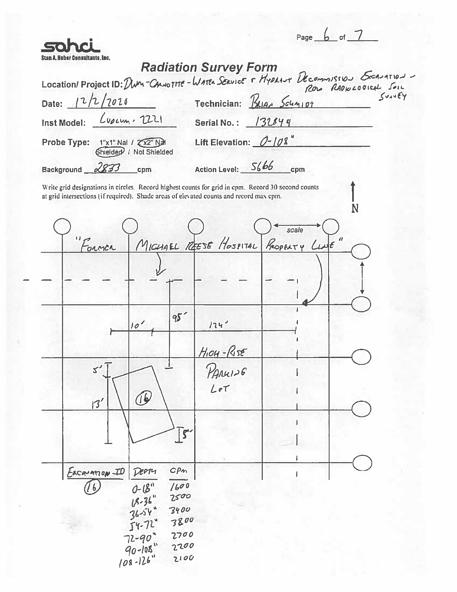|                                   |               |                         |               |                                                                                                                                                                                               |       | Page $\boxed{b}$ of $\boxed{ }$ |  |
|-----------------------------------|---------------|-------------------------|---------------|-----------------------------------------------------------------------------------------------------------------------------------------------------------------------------------------------|-------|---------------------------------|--|
| uber Consultants, Inc.            |               |                         |               | <b>Radiation Survey Form</b>                                                                                                                                                                  |       |                                 |  |
|                                   |               |                         |               |                                                                                                                                                                                               |       |                                 |  |
| Date: 12/2/2020                   |               |                         |               | Location/Project ID: Dum-CANOTHE-WATER SERVICE F HYPRANT DECOMMISSION SCANATION<br>Technician: Brian Schmipt                                                                                  |       |                                 |  |
|                                   |               |                         |               |                                                                                                                                                                                               |       |                                 |  |
| Inst Model: Lupium. 2221          |               |                         |               | Serial No.: 132844                                                                                                                                                                            |       |                                 |  |
| Probe Type: 1"x1" Nal / 2"x2" Nal |               | Shielded / Not Shielded |               | Lift Elevation: $0 - 108$                                                                                                                                                                     |       |                                 |  |
| Background 2833                   |               | cpm                     |               | Action Level: 5666 cpm                                                                                                                                                                        |       |                                 |  |
|                                   |               |                         |               | Write grid designations in circles. Record highest counts for grid in cpm. Record 30 second counts<br>at grid intersections (if required). Shade areas of elevated counts and record max cpm. | scale | N                               |  |
|                                   | Former        |                         |               | MICHAEL REESE HOSPITAL PROPERTY LINE"                                                                                                                                                         |       |                                 |  |
|                                   |               |                         |               |                                                                                                                                                                                               |       |                                 |  |
|                                   |               |                         |               |                                                                                                                                                                                               |       |                                 |  |
|                                   |               | 10                      | 95            | 124                                                                                                                                                                                           |       |                                 |  |
|                                   |               |                         |               | $H$ <sub>104</sub> - $R$ <sub>15</sub> $\epsilon$                                                                                                                                             |       |                                 |  |
|                                   | s             |                         |               | PANUIS6                                                                                                                                                                                       |       |                                 |  |
|                                   | 13'           | $\bigcirc$              |               | Lot                                                                                                                                                                                           |       |                                 |  |
|                                   |               |                         |               |                                                                                                                                                                                               |       |                                 |  |
|                                   |               |                         | $\sqrt{5}$    |                                                                                                                                                                                               |       |                                 |  |
|                                   |               |                         |               |                                                                                                                                                                                               |       |                                 |  |
|                                   | EXCAVATION ID | DEPTY                   | C P m<br>1600 |                                                                                                                                                                                               |       |                                 |  |
|                                   |               | $0 - 18$                | 2500          |                                                                                                                                                                                               |       |                                 |  |
|                                   |               | $18-36$<br>36-54        | 3400          |                                                                                                                                                                                               |       |                                 |  |
|                                   |               | $54 - 72$               | 3800<br>2700  |                                                                                                                                                                                               |       |                                 |  |
|                                   |               | $72 - 90$<br>$90 - 108$ | 2200          |                                                                                                                                                                                               |       |                                 |  |
|                                   |               | $108 - 126$             | 2100          |                                                                                                                                                                                               |       |                                 |  |